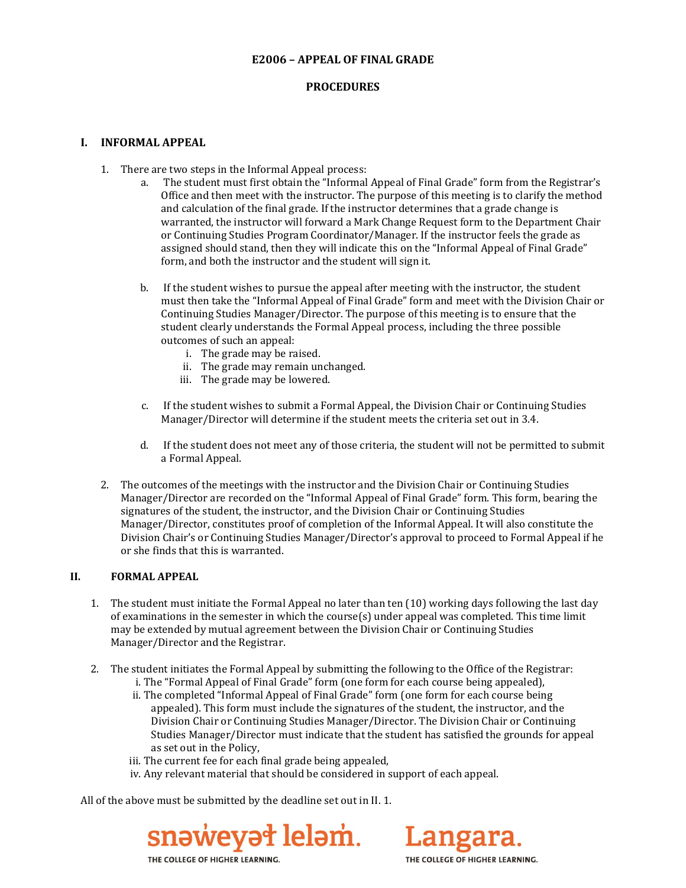### **E2006 – APPEAL OF FINAL GRADE**

## **PROCEDURES**

### **I. INFORMAL APPEAL**

- 1. There are two steps in the Informal Appeal process:<br>a. The student must first obtain the "Informal"
	- a. The student must first obtain the "Informal Appeal of Final Grade" form from the Registrar's Office and then meet with the instructor. The purpose of this meeting is to clarify the method and calculation of the final grade. If the instructor determines that a grade change is warranted, the instructor will forward a Mark Change Request form to the Department Chair or Continuing Studies Program Coordinator/Manager. If the instructor feels the grade as assigned should stand, then they will indicate this on the "Informal Appeal of Final Grade" form, and both the instructor and the student will sign it.
	- b. If the student wishes to pursue the appeal after meeting with the instructor, the student must then take the "Informal Appeal of Final Grade" form and meet with the Division Chair or Continuing Studies Manager/Director. The purpose of this meeting is to ensure that the student clearly understands the Formal Appeal process, including the three possible outcomes of such an appeal:
		- i. The grade may be raised.
		- ii. The grade may remain unchanged.
		- iii. The grade may be lowered.
	- c. If the student wishes to submit a Formal Appeal, the Division Chair or Continuing Studies Manager/Director will determine if the student meets the criteria set out in 3.4.
	- d. If the student does not meet any of those criteria, the student will not be permitted to submit a Formal Appeal.
- 2. The outcomes of the meetings with the instructor and the Division Chair or Continuing Studies Manager/Director are recorded on the "Informal Appeal of Final Grade" form. This form, bearing the signatures of the student, the instructor, and the Division Chair or Continuing Studies Manager/Director, constitutes proof of completion of the Informal Appeal. It will also constitute the Division Chair's or Continuing Studies Manager/Director's approval to proceed to Formal Appeal if he or she finds that this is warranted.

#### **II. FORMAL APPEAL**

- 1. The student must initiate the Formal Appeal no later than ten (10) working days following the last day of examinations in the semester in which the course $(s)$  under appeal was completed. This time limit may be extended by mutual agreement between the Division Chair or Continuing Studies Manager/Director and the Registrar.
- 2. The student initiates the Formal Appeal by submitting the following to the Office of the Registrar: i. The "Formal Appeal of Final Grade" form (one form for each course being appealed),
	- ii. The completed "Informal Appeal of Final Grade" form (one form for each course being appealed). This form must include the signatures of the student, the instructor, and the Division Chair or Continuing Studies Manager/Director. The Division Chair or Continuing Studies Manager/Director must indicate that the student has satisfied the grounds for appeal as set out in the Policy,
	- iii. The current fee for each final grade being appealed,
	- iv. Any relevant material that should be considered in support of each appeal.

All of the above must be submitted by the deadline set out in II. 1.





THE COLLEGE OF HIGHER LEARNING.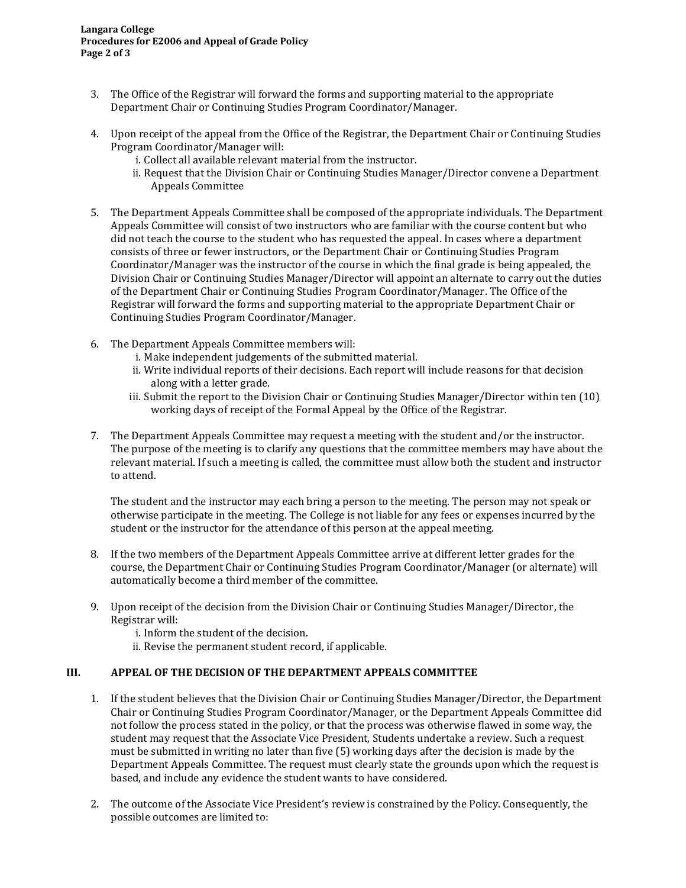- 3. The Office of the Registrar will forward the forms and supporting material to the appropriate Department Chair or Continuing Studies Program Coordinator/Manager.
- 4. Upon receipt of the appeal from the Office of the Registrar, the Department Chair or Continuing Studies Program Coordinator/Manager will:
	- i. Collect all available relevant material from the instructor.
	- ii. Request that the Division Chair or Continuing Studies Manager/Director convene a Department Appeals Committee
- 5. The Department Appeals Committee shall be composed of the appropriate individuals. The Department Appeals Committee will consist of two instructors who are familiar with the course content but who did not teach the course to the student who has requested the appeal. In cases where a department consists of three or fewer instructors, or the Department Chair or Continuing Studies Program Coordinator/Manager was the instructor of the course in which the final grade is being appealed, the Division Chair or Continuing Studies Manager/Director will appoint an alternate to carry out the duties of the Department Chair or Continuing Studies Program Coordinator/Manager. The Office of the Registrar will forward the forms and supporting material to the appropriate Department Chair or Continuing Studies Program Coordinator/Manager.
- 6. The Department Appeals Committee members will:
	- i. Make independent judgements of the submitted material.
	- ii. Write individual reports of their decisions. Each report will include reasons for that decision along with a letter grade.
	- iii. Submit the report to the Division Chair or Continuing Studies Manager/Director within ten (10) working days of receipt of the Formal Appeal by the Office of the Registrar.
- 7. The Department Appeals Committee may request a meeting with the student and/or the instructor. The purpose of the meeting is to clarify any questions that the committee members may have about the relevant material. If such a meeting is called, the committee must allow both the student and instructor to attend.

The student and the instructor may each bring a person to the meeting. The person may not speak or otherwise participate in the meeting. The College is not liable for any fees or expenses incurred by the student or the instructor for the attendance of this person at the appeal meeting.

- 8. If the two members of the Department Appeals Committee arrive at different letter grades for the course, the Department Chair or Continuing Studies Program Coordinator/Manager (or alternate) will automatically become a third member of the committee.
- 9. Upon receipt of the decision from the Division Chair or Continuing Studies Manager/Director, the Registrar will:
	- i. Inform the student of the decision.
	- ii. Revise the permanent student record, if applicable.

# **III. APPEAL OF THE DECISION OF THE DEPARTMENT APPEALS COMMITTEE**

- 1. If the student believes that the Division Chair or Continuing Studies Manager/Director, the Department Chair or Continuing Studies Program Coordinator/Manager, or the Department Appeals Committee did not follow the process stated in the policy, or that the process was otherwise flawed in some way, the student may request that the Associate Vice President, Students undertake a review. Such a request must be submitted in writing no later than five (5) working days after the decision is made by the Department Appeals Committee. The request must clearly state the grounds upon which the request is based, and include any evidence the student wants to have considered.
- 2. The outcome of the Associate Vice President's review is constrained by the Policy. Consequently, the possible outcomes are limited to: